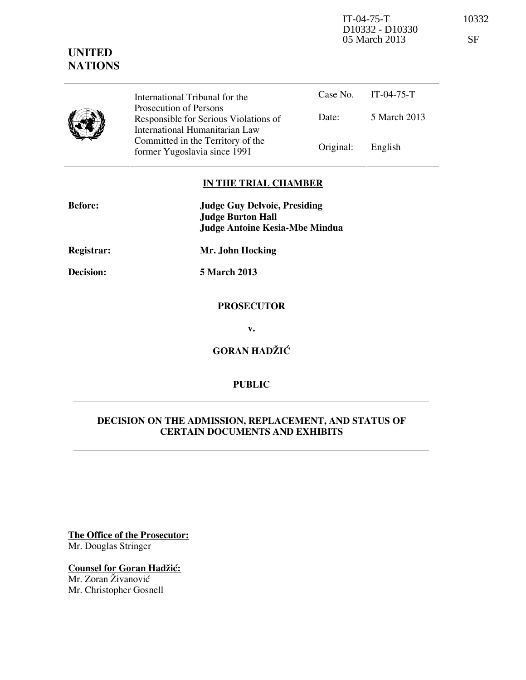IT-04-75-T 10332 D10332 - D10330 05 March 2013 SF

## **UNITED NATIONS**



Case No. IT-04-75-T Date: 5 March 2013 International Tribunal for the Prosecution of Persons Responsible for Serious Violations of International Humanitarian Law Committed in the Territory of the Former Yugoslavia since 1991 Original: English

## **IN THE TRIAL CHAMBER**

| <b>Before:</b>    | <b>Judge Guy Delvoie, Presiding</b><br><b>Judge Burton Hall</b><br><b>Judge Antoine Kesia-Mbe Mindua</b> |
|-------------------|----------------------------------------------------------------------------------------------------------|
| <b>Registrar:</b> | Mr. John Hocking                                                                                         |
| <b>Decision:</b>  | <b>5 March 2013</b>                                                                                      |
|                   | <b>PROSECUTOR</b>                                                                                        |
|                   | v.                                                                                                       |
|                   |                                                                                                          |

**GORAN HADŽIĆ** 

## **PUBLIC**

## **DECISION ON THE ADMISSION, REPLACEMENT, AND STATUS OF CERTAIN DOCUMENTS AND EXHIBITS**

**The Office of the Prosecutor:** Mr. Douglas Stringer

**Counsel for Goran Hadžić:** Mr. Zoran Živanović Mr. Christopher Gosnell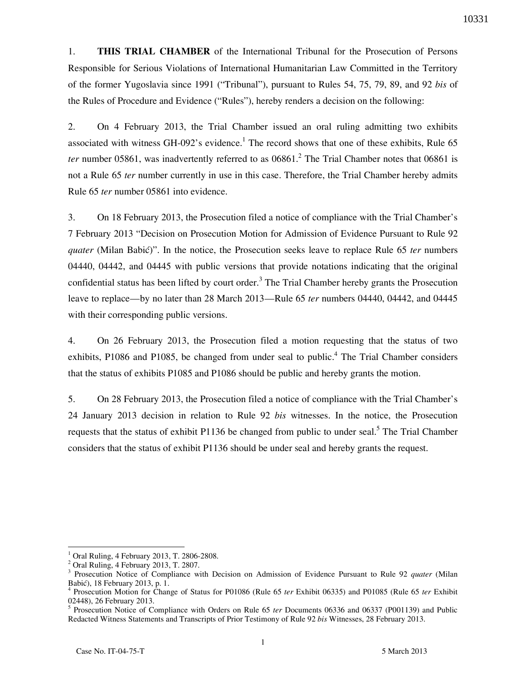1. **THIS TRIAL CHAMBER** of the International Tribunal for the Prosecution of Persons Responsible for Serious Violations of International Humanitarian Law Committed in the Territory of the former Yugoslavia since 1991 ("Tribunal"), pursuant to Rules 54, 75, 79, 89, and 92 *bis* of the Rules of Procedure and Evidence ("Rules"), hereby renders a decision on the following:

2. On 4 February 2013, the Trial Chamber issued an oral ruling admitting two exhibits associated with witness GH-092's evidence.<sup>1</sup> The record shows that one of these exhibits, Rule 65 ter number 05861, was inadvertently referred to as 06861.<sup>2</sup> The Trial Chamber notes that 06861 is not a Rule 65 *ter* number currently in use in this case. Therefore, the Trial Chamber hereby admits Rule 65 *ter* number 05861 into evidence.

3. On 18 February 2013, the Prosecution filed a notice of compliance with the Trial Chamber's 7 February 2013 "Decision on Prosecution Motion for Admission of Evidence Pursuant to Rule 92 *quater* (Milan Babić)". In the notice, the Prosecution seeks leave to replace Rule 65 *ter* numbers 04440, 04442, and 04445 with public versions that provide notations indicating that the original confidential status has been lifted by court order.<sup>3</sup> The Trial Chamber hereby grants the Prosecution leave to replace—by no later than 28 March 2013—Rule 65 *ter* numbers 04440, 04442, and 04445 with their corresponding public versions.

4. On 26 February 2013, the Prosecution filed a motion requesting that the status of two exhibits, P1086 and P1085, be changed from under seal to public.<sup>4</sup> The Trial Chamber considers that the status of exhibits P1085 and P1086 should be public and hereby grants the motion.

5. On 28 February 2013, the Prosecution filed a notice of compliance with the Trial Chamber's 24 January 2013 decision in relation to Rule 92 *bis* witnesses. In the notice, the Prosecution requests that the status of exhibit P1136 be changed from public to under seal.<sup>5</sup> The Trial Chamber considers that the status of exhibit P1136 should be under seal and hereby grants the request.

 $\overline{a}$ 

<sup>1</sup> Oral Ruling, 4 February 2013, T. 2806-2808.

<sup>2</sup> Oral Ruling, 4 February 2013, T. 2807.

<sup>&</sup>lt;sup>3</sup> Prosecution Notice of Compliance with Decision on Admission of Evidence Pursuant to Rule 92 *quater* (Milan Babi}), 18 February 2013, p. 1.

<sup>4</sup> Prosecution Motion for Change of Status for P01086 (Rule 65 *ter* Exhibit 06335) and P01085 (Rule 65 *ter* Exhibit 02448), 26 February 2013.

<sup>&</sup>lt;sup>5</sup> Prosecution Notice of Compliance with Orders on Rule 65 *ter* Documents 06336 and 06337 (P001139) and Public Redacted Witness Statements and Transcripts of Prior Testimony of Rule 92 *bis* Witnesses, 28 February 2013.